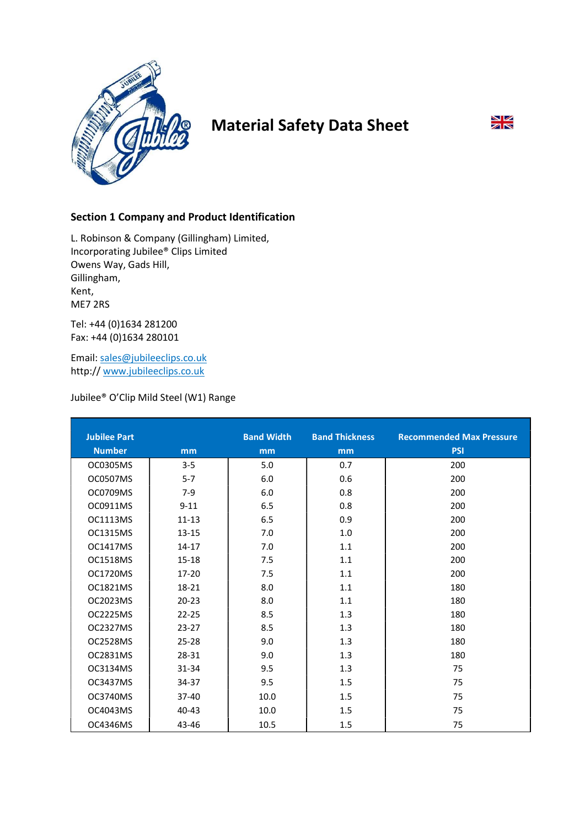

# Material Safety Data Sheet

# $\frac{N}{N}$

# Section 1 Company and Product Identification

L. Robinson & Company (Gillingham) Limited, Incorporating Jubilee® Clips Limited Owens Way, Gads Hill, Gillingham, Kent, ME7 2RS

Tel: +44 (0)1634 281200 Fax: +44 (0)1634 280101

Email: sales@jubileeclips.co.uk http:// www.jubileeclips.co.uk

# Jubilee® O'Clip Mild Steel (W1) Range

| <b>Jubilee Part</b> |                | <b>Band Width</b> | <b>Band Thickness</b> | <b>Recommended Max Pressure</b> |
|---------------------|----------------|-------------------|-----------------------|---------------------------------|
|                     |                |                   |                       |                                 |
| <b>Number</b>       | m <sub>m</sub> | m <sub>m</sub>    | mm                    | <b>PSI</b>                      |
| OC0305MS            | $3 - 5$        | 5.0               | 0.7                   | 200                             |
| OC0507MS            | $5 - 7$        | 6.0               | 0.6                   | 200                             |
| OC0709MS            | $7-9$          | 6.0               | 0.8                   | 200                             |
| OC0911MS            | $9 - 11$       | 6.5               | 0.8                   | 200                             |
| <b>OC1113MS</b>     | $11 - 13$      | 6.5               | 0.9                   | 200                             |
| OC1315MS            | $13 - 15$      | 7.0               | 1.0                   | 200                             |
| <b>OC1417MS</b>     | $14 - 17$      | 7.0               | 1.1                   | 200                             |
| OC1518MS            | 15-18          | 7.5               | 1.1                   | 200                             |
| <b>OC1720MS</b>     | $17 - 20$      | 7.5               | 1.1                   | 200                             |
| OC1821MS            | 18-21          | 8.0               | 1.1                   | 180                             |
| OC2023MS            | $20 - 23$      | 8.0               | 1.1                   | 180                             |
| OC2225MS            | $22 - 25$      | 8.5               | 1.3                   | 180                             |
| OC2327MS            | $23-27$        | 8.5               | 1.3                   | 180                             |
| OC2528MS            | $25 - 28$      | 9.0               | 1.3                   | 180                             |
| OC2831MS            | 28-31          | 9.0               | 1.3                   | 180                             |
| OC3134MS            | 31-34          | 9.5               | 1.3                   | 75                              |
| OC3437MS            | 34-37          | 9.5               | 1.5                   | 75                              |
| OC3740MS            | 37-40          | 10.0              | 1.5                   | 75                              |
| OC4043MS            | $40 - 43$      | 10.0              | 1.5                   | 75                              |
| OC4346MS            | 43-46          | 10.5              | 1.5                   | 75                              |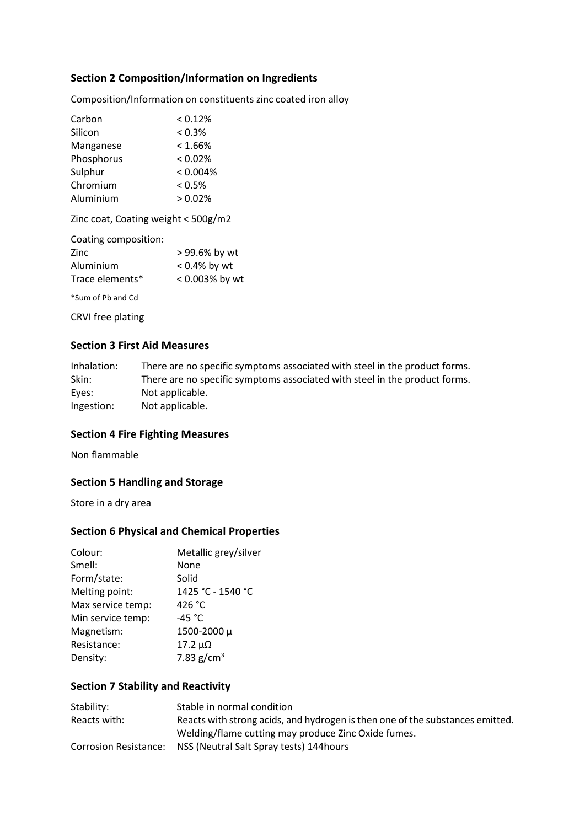# Section 2 Composition/Information on Ingredients

Composition/Information on constituents zinc coated iron alloy

| Carbon     | < 0.12%    |
|------------|------------|
| Silicon    | $< 0.3\%$  |
| Manganese  | $< 1.66\%$ |
| Phosphorus | $< 0.02\%$ |
| Sulphur    | < 0.004%   |
| Chromium   | < 0.5%     |
| Aluminium  | > 0.02%    |

Zinc coat, Coating weight < 500g/m2

| Coating composition: |                 |
|----------------------|-----------------|
| Zinc                 | > 99.6% by wt   |
| Aluminium            | $< 0.4\%$ by wt |
| Trace elements*      | < 0.003% by wt  |
|                      |                 |

\*Sum of Pb and Cd

CRVI free plating

# Section 3 First Aid Measures

| Inhalation: | There are no specific symptoms associated with steel in the product forms. |
|-------------|----------------------------------------------------------------------------|
| Skin:       | There are no specific symptoms associated with steel in the product forms. |
| Eyes:       | Not applicable.                                                            |
| Ingestion:  | Not applicable.                                                            |

#### Section 4 Fire Fighting Measures

Non flammable

## Section 5 Handling and Storage

Store in a dry area

#### Section 6 Physical and Chemical Properties

| Colour:           | Metallic grey/silver |
|-------------------|----------------------|
| Smell:            | None                 |
| Form/state:       | Solid                |
| Melting point:    | 1425 °C - 1540 °C    |
| Max service temp: | 426 °C               |
| Min service temp: | -45 $^{\circ}$ C     |
| Magnetism:        | 1500-2000 μ          |
| Resistance:       | $17.2 \mu\Omega$     |
| Density:          | 7.83 $g/cm^{3}$      |
|                   |                      |

## Section 7 Stability and Reactivity

| Stability:   | Stable in normal condition                                                    |
|--------------|-------------------------------------------------------------------------------|
| Reacts with: | Reacts with strong acids, and hydrogen is then one of the substances emitted. |
|              | Welding/flame cutting may produce Zinc Oxide fumes.                           |
|              | Corrosion Resistance: NSS (Neutral Salt Spray tests) 144 hours                |